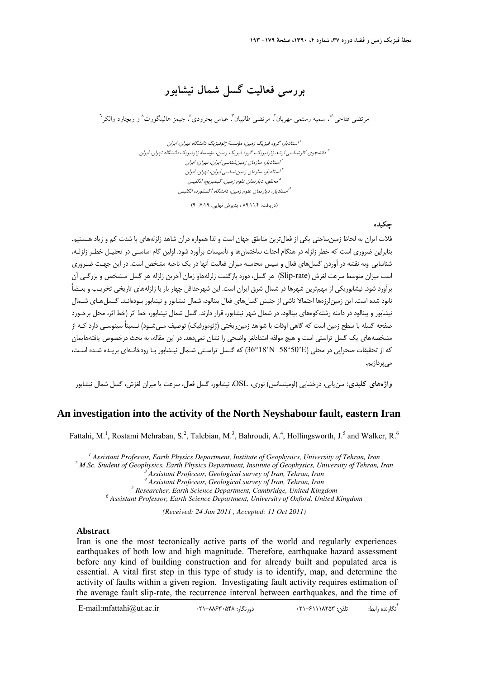# **بررسي فعاليت گسل شمال نيشابور**

مر تضي فتاحي هي سميه رستمي مهربان<sup>،</sup> مرتضي طالبيان<sup>م</sup>، عباس بحرودي <sup>٤</sup> جيمز هالينگورت^و ريچارد والكر<sup>٦</sup>

استاديار، گروه فيزيك زمين، مؤسسة ژئوفيزيك دانشگاه تهران، ايران <sup>1</sup> دانشجوي كارشناسي ارشد ژئوفيزيك، گروه فيزيك زمين، مؤسسة ژئوفيزيك دانشگاه تهران، ايران <sup>2</sup> استاديار، سازمان زمينشناسي ايران، تهران، ايران <sup>3</sup> استاديار، سازمان زمينشناسي ايران، تهران، ايران <sup>4</sup> محقق، دپارتمان علوم زمين، كيمبريج، انگليس <sup>5</sup> استاديار، دپارتمان علوم زمين، دانشگاه آكسفورد، انگليس <sup>6</sup>

(دريافت: ۸۹٬۱۱/۴ ، پذيرش نهايي: ۹۰٬۷٬۱۹)

## **چكيده**

فلات ايران به لحاظ زمينساختي يكي از فعالترين مناطق جهان است و لذا همواره درآن شاهد زلزلههاي با شدت كم و زياد هـستيم. بنابراين ضروري است كه خطر زلزله در هنگام احداث ساختمانها و تأسيسات برآورد شود. اولين گام اساسـي در تحليـل خطـر زلزلـه، شناسايي وبه نقشه در آوردن گسلهاي فعال و سپس محاسبه ميزان فعاليت آنها در يك ناحيه مشخص است. در اين جهـت ضـروري است ميزان متوسط سرعت لغزش (rate-Slip (هر گسل، دوره بازگشت زلزلههاو زمان آخرين زلزله هر گسل مـشخص و بزرگـي آن برآورد شود. نيشابوريكي از مهمترين شهرها در شمال شرق ايران است. اين شهرحداقل چهار بار با زلزلههاي تاريخي تخريـب و بعـضاً نابود شده است. اين زمين لرزهها احتمالا ناشي از جنبش گسل هاي فعال بينالود، شمال نيشابور و نيشابور بـودهانـد. گـسل هـاي شـمال نيشابور و بينالود در دامنه رشتهكوههاي بينالود، در شمال شهر نيشابور، قرار دارند. گسل شمال نيشابور، خط اثر (خط اثر، محل برخـورد صفحه گسله با سطح زمين است كه گاهي اوقات با شواهد زمين ريختي (ژئومورفيك) توصيف مـي شـود) نـسبتاً سينوسـي دارد كـه از مشخصه هاي يك گسل تراستي است و هيچ مولفه امتدادلغز واضحي را نشان نميدهد. در اين مقاله، به بحث درخصوص يافته هايمان كه از تحقيقات صحرايي در محلي (E'58°50 N'36°18 (كه گـسل تراسـتي شـمال نيـشابور بـا رودخانـهاي بريـده شـده اسـت، ميپردازيم.

**واژههاي كليدي:** سنيابي، درخشايي (لومينسانس) نوري، OSL، نيشابور، گسل فعال، سرعت يا ميزان لغزش، گسل شمال نيشابور

# **An investigation into the activity of the North Neyshabour fault, eastern Iran**

Fattahi, M.<sup>1</sup>, Rostami Mehraban, S.<sup>2</sup>, Talebian, M.<sup>3</sup>, Bahroudi, A.<sup>4</sup>, Hollingsworth, J.<sup>5</sup> and Walker, R.<sup>6</sup>

<sup>1</sup> Assistant Professor, Earth Physics Department, Institute of Geophysics, University of Tehran, Iran<br><sup>2</sup> M Se, Student of Ceophysics, Earth Physics Department, Institute of Ceophysics, University of Tehran  *M.Sc. Student of Geophysics, Earth Physics Department, Institute of Geophysics, University of Tehran, Iran <sup>3</sup>*

 *Assistant Professor, Geological survey of Iran, Tehran, Iran 4*

 *Assistant Professor, Geological survey of Iran, Tehran, Iran 5*

 *Researcher, Earth Science Department, Cambridge, United Kingdom 6*

 *Assistant Professor, Earth Science Department, University of Oxford, United Kingdom* 

*(Received: 24 Jan 2011 , Accepted: 11 Oct 2011)*

#### **Abstract**

Iran is one the most tectonically active parts of the world and regularly experiences earthquakes of both low and high magnitude. Therefore, earthquake hazard assessment before any kind of building construction and for already built and populated area is essential. A vital first step in this type of study is to identify, map, and determine the activity of faults within a given region. Investigating fault activity requires estimation of the average fault slip-rate, the recurrence interval between earthquakes, and the time of

\* تگارنده رابط: تلفن: ۴۸۲۸۱۲۶–۲۱۰ : دورنگار: ۴۸۴۸-۲۱-۸۶۴۸ : E-mail:mfattahi@ut.ac.ir : دورنگار ۲۱۰-۶۸۴۲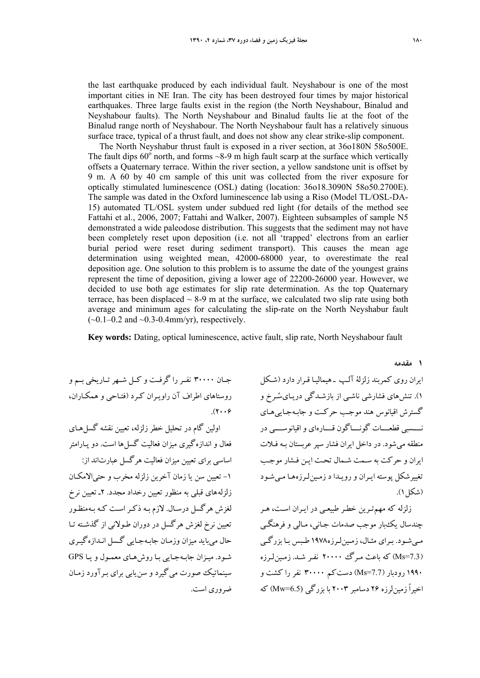the last earthquake produced by each individual fault. Neyshabour is one of the most important cities in NE Iran. The city has been destroyed four times by major historical earthquakes. Three large faults exist in the region (the North Neyshabour, Binalud and Neyshabour faults). The North Neyshabour and Binalud faults lie at the foot of the Binalud range north of Neyshabour. The North Neyshabour fault has a relatively sinuous surface trace, typical of a thrust fault, and does not show any clear strike-slip component.

The North Neyshabur thrust fault is exposed in a river section, at 36o180N 58o500E. The fault dips  $60^{\circ}$  north, and forms ~8-9 m high fault scarp at the surface which vertically offsets a Quaternary terrace. Within the river section, a yellow sandstone unit is offset by 9 m. A 60 by 40 cm sample of this unit was collected from the river exposure for optically stimulated luminescence (OSL) dating (location: 36o18.3090N 58o50.2700E). The sample was dated in the Oxford luminescence lab using a Riso (Model TL/OSL-DA-15) automated TL/OSL system under subdued red light (for details of the method see Fattahi et al., 2006, 2007; Fattahi and Walker, 2007). Eighteen subsamples of sample N5 demonstrated a wide paleodose distribution. This suggests that the sediment may not have been completely reset upon deposition (i.e. not all 'trapped' electrons from an earlier burial period were reset during sediment transport). This causes the mean age determination using weighted mean, 42000-68000 year, to overestimate the real deposition age. One solution to this problem is to assume the date of the youngest grains represent the time of deposition, giving a lower age of 22200-26000 year. However, we decided to use both age estimates for slip rate determination. As the top Quaternary terrace, has been displaced  $\sim$  8-9 m at the surface, we calculated two slip rate using both average and minimum ages for calculating the slip-rate on the North Neyshabur fault  $(-0.1-0.2$  and  $-0.3-0.4$ mm/yr), respectively.

**Key words:** Dating, optical luminescence, active fault, slip rate, North Neyshabour fault

جــان 30000 نفــررا گرفــت و كــل شــهرتــاريخي بــم و روستاهاي اطراف آن راويـران كـرد (فتـاحي و همكـاران،  $(2.66)$ 

اولين گام در تحليل خطر زلزله، تعيين نقشه گسل هـاي فعال و اندازهگيري ميزان فعاليت گسلها است. دو پـارامتر اساسي براي تعيين ميزان فعاليت هرگسل عبارتاند از: -1 تعيين سن يا زمان آخرين زلزله مخرب و حتيالامكـان زلزله هاي قبلي به منظور تعيين رخداد مجدد. 2ـ تعيين نرخ لغزش هرگسل درسـال. لازم بـه ذكـراسـت كـه بـه منظـور تعيين نرخ لغزش هرگسل در دوران طـولاني از گذشـته تـا حال مي بايد ميزان وزمـان جابـهجـايي گـسل انـدازهگيـري شـود. ميـزان جابـهجـايي بـا روشهـاي معمـول ويـا GPS سينماتيك صورت مي گيرد و سنيابي براي بـرآورد زمـان ضروري است.

ايران روي كمربند زلزلة آلـپ ـ هيماليـا قـرار دارد (شـكل 1). تنشهاى فشارشى ناشـى از بازشـدگى دريـاى سـرخ و گسترش اقيانوس هند موجـب حركـت و جابـه جـاييهـاى نــــسبى قطعــــات گونــــاگون قــــارهاى واقيانوســــى در منطقه ميشود. در داخل ايران فشار سپرعربستان بـه فـلات ايران و حركت به سـمت شـمال تحـت ا يـن فـشار موجـب تغييرشكل پوسته ايـران و رويـدا د زمـين لـرزههـا مـيشـود (شكل ١).

زلزله كه مهمتـرين خطـر طبيعـي در ايـران اسـت، هـر چندسال يكبار موجب صدمات جـاني، مـالي و فرهنگـي مـيشـود. بـراي مثـال، زمـينلـرزه1978 طـبس بـا بزرگـي (7.3=Ms (كه باعث مـرگ 20000 نفـر شـد . زمـينلـرزه 1990 رودبار (7.7=Ms (دستكم 30000 نفر را كشت و اخيراً زمينلرزه 26 دسامبر 2003 با بزرگي (6.5=Mw (كه

**1 مقدمه**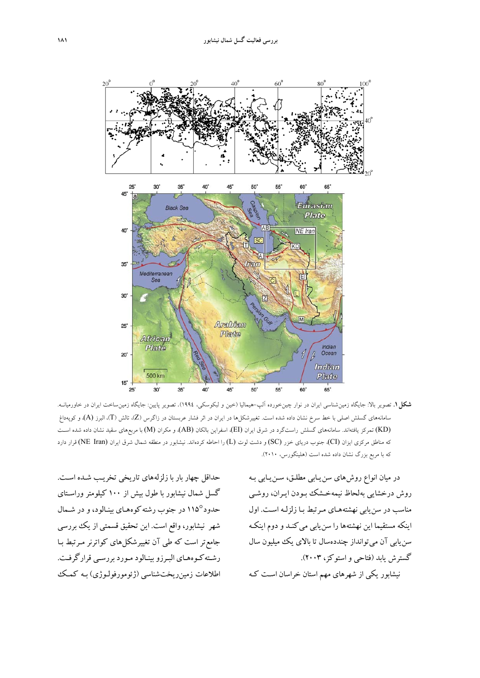

**شكل.1** تصوير بالا: جايگاه زمينشناسي ايران در نوار چينخورده آلپ-هيماليا (خين و لبكوسكي، 1994). تصوير پايين: جايگاه زمينساخت ايران در خاورميانـه. سامانههاي گسلش اصلي با خط سرخ نشان داده شده است. تغييرشكل۱ها در ايران در اثر فشار عربستان در زاگرس (Z)، تالش (T)، البرز (A)، و كوپهداغ (KD (تمركز يافتهاند. سامانههاي گسلش راستگرد در شرق ايران (EI(، اسفراين بالكان (AB(، و مكران (M (با مربعهاي سقيد نشان داده شده اسـت كه مناطق مركزي ايزان (CI)، جنوب درياي خزر (SC) و دشت لوت (L) را احاطه كردهاند. نيشابور در منطقه شمال شرق ايران (NE Iran) قرار دارد كه با مربع بزرگ نشان داده شده است (هلينگورس، 2010).

در ميان انواع روشهاي سنيـابي مطلـق، سـن يـابي بـه روش درخشايي بهلحاظ نيمهخـشك بـودن ايـران، روشـي مناسب در سنيابي نهشته هـاي مـرتبط بـا زلزلـه اسـت . اول اينكه مستقيما اين نهشتهها را سنيابي ميكنـد و دوم اينكـه سن يابي آن مي توانداز چنددهسال تا بالاي يك ميليون سال گسترش يابد (فتاحي و استوكز، 2003). نيشابور يكي از شهرهاي مهم استان خراسان اسـت كـه

حداقل چهار بار با زلزله هاي تاريخي تخريـب شـده اسـت . گسل شمال نيشابور با طول بيش از 100 كيلومتر وراسـتاي حدود115° در جنوب رشته كوههـاي بينـالود، و در شـمال شهر نيشابور، واقع است. اين تحقيق قسمتي از يك بررسي جامعتر است كه طي آن تغيير شكلهاي كواترنر مـرتبط بـا رشـتهكـوههـاي البـرزوبينـالود مـورد بررسـي قرارگرفـت. اطلاعات زمينريختشناسي (ژئومورفولـوژي) بـه كمـك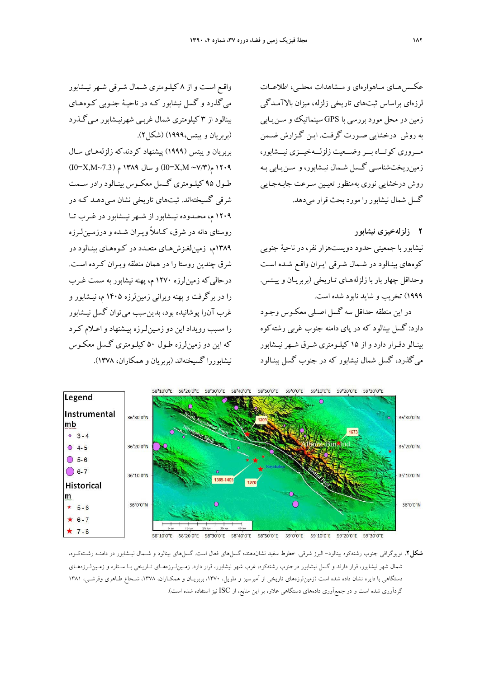عكــسهــاي مــاهوارهاي و مــشاهدات محلــي، اطلاعــات لرزهاي براساس ثبتهاي تاريخي زلزله، ميزان بالاآمـدگي زمين در محل مورد بررسي با GPS سينماتيك و سـنيـابي به روش درخشايي صـورت گرفـت. ايـن گـزارش ضـمن مـــروري كوتـــاه بـــروضـــعيت زلزلـــهخيـــزي نيـــشابور، زمينريختشناسـي گـسل شـمال نيـشابور، و سـنيـابي بـه روش درخشايي نوري بهمنظور تعيـين سـرعت جابـه جـايي گسل شمال نيشابور را مورد بحث قرار مي دهد.

## **2 زلزلهخيزي نيشابور**

نيشابور با جمعيتي حدود دويستهزار نفر، در ناحية جنوبي كوههاي بينـالود در شـمال شـرقي ايـران واقـع شـده اسـت وحداقل چهار بار با زلزلههـاي تـاريخي (بربريـان و ييـت س. 1999) تخريب و شايد نابود شده است.

در اين منطقه حداقل سه گسل اصـلي معكـوس وجـود دارد: گسل بينالود كه در پاي دامنه جنوب غربي رشتهكوه بينـالو دقـرار دارد و از 15 كيلـومتري شـرق شـهرنيـشابور ميگذرد، گسل شمال نيشابور كه در جنوب گسل ب ينـالود

واقـع اسـت و از 8 كيلـومتري شـمال شـرقي شـهرنيـشابور ميگذرد و گسل نيشابور كـه در ناحيـة جنـوبي كـوههـاي بينالود از 3 كيلومتري شمال غربـي شهرنيـشابور مـيگـذرد (بربريان و پيتس،١٩٩٩) (شكل ٢).

بربريان و ييتس (1999) پيشنهاد كردندكه زلزلههـاي سـال (I0=X,M~7.3) م 1389 سال و) I0=X,M ∼7/3)م 1209 طـول 95 كيلــومتري گـسل معكــوس بينـالود رادر ســمت شرقي گسيختهاند. ثبتهاي تاريخي نشان مـي دهـد كـه در 1209 م، محــدوده نيــشابور از شــهرنيــشابور در غــرب تــا روستاي دانه در شرق، كـاملاً ويـران شـد ه و درزمـينلـرزه 1389م، زمينلغـزشهـاي متعـدد در كـوه هـاي بينـالود در شرق چندين روستا را در همان منطقه ويـران كـرد ه اسـت. درحاليكه زمينلرزه 1270 م، پهنه نيشابور به سمت غـرب را در برگرفت و پهنه ويراني زمين لرزه 1405 م، نيـشابور و غرب آنرا پوشانيده بود، بدينسبب ميتوان گسل نيـشابور را مسبب رويداد اين دو زمـين لـرزه پيـشنهاد واعـلام كـرد كه اين دو زمينلرزه طـول 50 كيلـومتري گـسل معكـوس نيشابوررا گسيختهاند (بربريان و همكاران، 1378).



**شكل.2** توپوگرافي جنوب رشتهكوه بينالود- البرز شرقي. خطوط سفيد نشاندهنده گسلهاي فعال است. گسلهاي بينالود و شـمال نيـشابور در دامنـه رشـتهكـوه، شمال شهر نيشابور، قرار دارند و گسل نيشابور درجنوب رشتهكوه، غرب شهر نيشابور، قرار دارد. زمـينلـرزههـاي تـاريخي بـا سـتاره و زمـينلـرزههـاي دستگاهي با دايره نشان داده شده است (زمينلرزههاي تاريخي از آمبرسيز و ملويل، ،1370 بربريـان و همكـاران، ،1378 شـجاع طـاهري وقرشـي، 1381 گردآوري شده است و در جمعآوري دادههاي دستگاهي علاوه بر اين منابع، از ISC نيز استفاده شده است).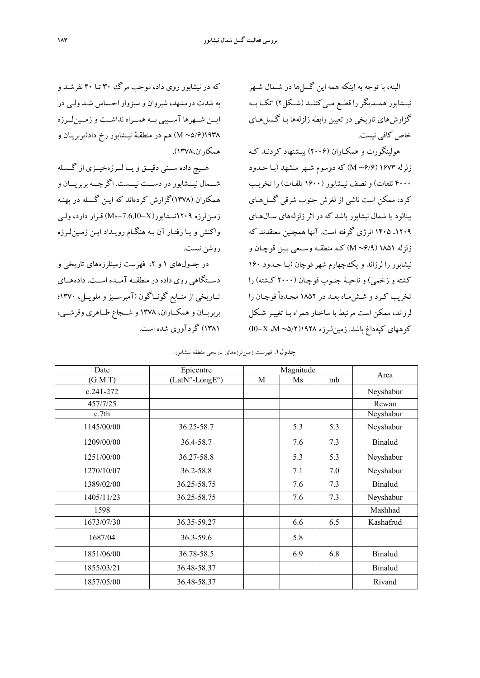البته، با توجه به اينكه همه اين گسلها در شـمال شـهر نيــشابور همــديگررا قطــع مــيكننــد (شــكل2) اتكــا بــه گزارش هاي تاريخي در تعيين رابطه زلزلهها بـا گـسل هـاي خاص كافي نيست.

هولينگورت و همكـاران (2006) پيـشنهاد كردنـد كـه زلزله 1673 (6/6∽ <sup>M</sup> (كه دوسوم شـهر مـشهد (بـا حـدود 4000 تلفات) و نصف نيـشابور (1600 تلفـات) را تخريـب كرد، ممكن است ناشي از لغزش جنوب شرقي گسل هـاي بينالود يا شمال نيشابور باشد كه در اثرزلزله هاي سـالهـاي 1209ـ 1405 انرژي گرفته است. آنها همچنين معتقدند كه زلزله 1851 (6/9∽ <sup>M</sup> (كـه منطقـه وسـيعي بـين قوچـان و نيشابور را لرزاند و يك چهارم شهر قوچان (بـا حـدود 160 كشته و زخمي) و ناحيـة جنـوب قوچـان (2000 كـشته) را تخريب كـرد و شـشمـاه بعـد در 1852 مجـدداً قوچـان را لرزاند، ممكن است مرتبط با ساختار همراه بـا تغييـر شـكل كوههاي كپهداغ باشد. زمينلـرزه 1928(5/2∽ <sup>M</sup>، X=0I(

كه در نيشابور روي داد، موجب مرگ 30 تـا 40 نفرشـد و به شدت درمشهد، شيروان و سبزوار احـساس شـد ولـي در ايــن شــهرها آســيبي بــه همــراه نداشــت وزمــينلــرزه 1938(5/6∽ <sup>M</sup> (هم در منطقـة نيـشابور رخ داد (بربريـان و همكاران1378،).

هــيچ داده ســني دقيــق ويــا لــرزهخيــزي از گــسله شـــمال نيـــشابور در دســـت نيـــست. اگرچـــه بربريـــان و همكاران (1378)گزارش كردهاند كه ايـن گـسله در پهنـه زمين لرزه 1209-111نيسشابور (Ms=7.6,I0=X) قبرار دارد، ولي واكنش و يـا رفتـار آن بـه هنگـام رويـداد ايـن زمـينلـرزه روشن نيست.

در جدول هاي ١ و ٢، فهرست زمينلرزه هاي تاريخي و دســتگاهي روي داده در منطقــه آمــده اســت. دادههــاي تــاريخي از منــابع گونــاگون (آمبرســيزو ملويــل، 1370؛ بربريــان و همكــاران، 1378 و شــجاع طــاهري وقرشــي، 1381) گردآوري شده است.

**جدول.1** فهرست زمينلرزههاي تاريخي منطقه نيشابور.

| Date          | Epicentre      | Magnitude |     |     |                |
|---------------|----------------|-----------|-----|-----|----------------|
| (G.M.T)       | (LatN°-LongE°) | M         | Ms  | mb  | Area           |
| $c.241 - 272$ |                |           |     |     | Neyshabur      |
| 457/7/25      |                |           |     |     | Rewan          |
| c.7th         |                |           |     |     | Neyshabur      |
| 1145/00/00    | 36.25-58.7     |           | 5.3 | 5.3 | Neyshabur      |
| 1209/00/00    | 36.4-58.7      |           | 7.6 | 7.3 | <b>Binalud</b> |
| 1251/00/00    | 36.27-58.8     |           | 5.3 | 5.3 | Neyshabur      |
| 1270/10/07    | 36.2-58.8      |           | 7.1 | 7.0 | Neyshabur      |
| 1389/02/00    | 36.25-58.75    |           | 7.6 | 7.3 | <b>Binalud</b> |
| 1405/11/23    | 36.25-58.75    |           | 7.6 | 7.3 | Neyshabur      |
| 1598          |                |           |     |     | Mashhad        |
| 1673/07/30    | 36.35-59.27    |           | 6.6 | 6.5 | Kashafrud      |
| 1687/04       | 36.3-59.6      |           | 5.8 |     |                |
| 1851/06/00    | 36.78-58.5     |           | 6.9 | 6.8 | <b>Binalud</b> |
| 1855/03/21    | 36.48-58.37    |           |     |     | <b>Binalud</b> |
| 1857/05/00    | 36.48-58.37    |           |     |     | Rivand         |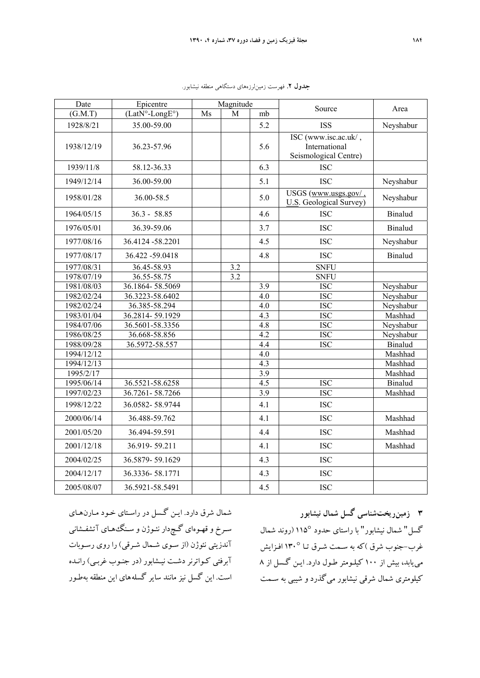| Date       | Epicentre        | Magnitude |     |                  | Source                                                         | Area           |
|------------|------------------|-----------|-----|------------------|----------------------------------------------------------------|----------------|
| (G.M.T)    | $(LatN°-LongE°)$ | Ms        | M   | mb               |                                                                |                |
| 1928/8/21  | 35.00-59.00      |           |     | 5.2              | <b>ISS</b>                                                     | Neyshabur      |
| 1938/12/19 | 36.23-57.96      |           |     | 5.6              | ISC (www.isc.ac.uk/,<br>International<br>Seismological Centre) |                |
| 1939/11/8  | 58.12-36.33      |           |     | 6.3              | <b>ISC</b>                                                     |                |
| 1949/12/14 | 36.00-59.00      |           |     | 5.1              | <b>ISC</b>                                                     | Neyshabur      |
| 1958/01/28 | 36.00-58.5       |           |     | 5.0              | USGS (www.usgs.gov/<br><b>U.S.</b> Geological Survey)          | Neyshabur      |
| 1964/05/15 | $36.3 - 58.85$   |           |     | 4.6              | <b>ISC</b>                                                     | <b>Binalud</b> |
| 1976/05/01 | 36.39-59.06      |           |     | 3.7              | <b>ISC</b>                                                     | <b>Binalud</b> |
| 1977/08/16 | 36.4124 -58.2201 |           |     | 4.5              | <b>ISC</b>                                                     | Neyshabur      |
| 1977/08/17 | 36.422 -59.0418  |           |     | 4.8              | <b>ISC</b>                                                     | <b>Binalud</b> |
| 1977/08/31 | 36.45-58.93      |           | 3.2 |                  | <b>SNFU</b>                                                    |                |
| 1978/07/19 | 36.55-58.75      |           | 3.2 |                  | <b>SNFU</b>                                                    |                |
| 1981/08/03 | 36.1864-58.5069  |           |     | 3.9              | <b>ISC</b>                                                     | Neyshabur      |
| 1982/02/24 | 36.3223-58.6402  |           |     | 4.0              | <b>ISC</b>                                                     | Neyshabur      |
| 1982/02/24 | 36.385-58.294    |           |     | 4.0              | <b>ISC</b>                                                     | Neyshabur      |
| 1983/01/04 | 36.2814-59.1929  |           |     | 4.3              | <b>ISC</b>                                                     | Mashhad        |
| 1984/07/06 | 36.5601-58.3356  |           |     | 4.8              | <b>ISC</b>                                                     | Neyshabur      |
| 1986/08/25 | 36.668-58.856    |           |     | $\overline{4.2}$ | <b>ISC</b>                                                     | Neyshabur      |
| 1988/09/28 | 36.5972-58.557   |           |     | 4.4              | <b>ISC</b>                                                     | Binalud        |
| 1994/12/12 |                  |           |     | 4.0              |                                                                | Mashhad        |
| 1994/12/13 |                  |           |     | 4.3              |                                                                | Mashhad        |
| 1995/2/17  |                  |           |     | 3.9              |                                                                | Mashhad        |
| 1995/06/14 | 36.5521-58.6258  |           |     | 4.5              | <b>ISC</b>                                                     | <b>Binalud</b> |
| 1997/02/23 | 36.7261-58.7266  |           |     | $\overline{3.9}$ | <b>ISC</b>                                                     | Mashhad        |
| 1998/12/22 | 36.0582-58.9744  |           |     | 4.1              | <b>ISC</b>                                                     |                |
| 2000/06/14 | 36.488-59.762    |           |     | 4.1              | <b>ISC</b>                                                     | Mashhad        |
| 2001/05/20 | 36.494-59.591    |           |     | 4.4              | <b>ISC</b>                                                     | Mashhad        |
| 2001/12/18 | 36.919-59.211    |           |     | 4.1              | <b>ISC</b>                                                     | Mashhad        |
| 2004/02/25 | 36.5879-59.1629  |           |     | 4.3              | <b>ISC</b>                                                     |                |
| 2004/12/17 | 36.3336-58.1771  |           |     | 4.3              | <b>ISC</b>                                                     |                |
| 2005/08/07 | 36.5921-58.5491  |           |     | 4.5              | <b>ISC</b>                                                     |                |

**جدول .2** فهرست زمينلرزههاي دستگاهي منطقه نيشابور.

شمال شرق دارد. ايـن گـسل در ر اسـتاي خـود مـارنهـاي سـرخ و قهـوهاي گـچدار نئـوژن و سـنگهـاي آتشفـشاني آندزيتي نئوژن (از سـوي شـمال شـرقي) را روي رسـوبات آبرفتي كـواترنر دشـت نيـشابور (در جنـوب غربـي) رانـده است. اين گسل نيز مانند ساير گسله هاي اين منطقه بهطـور

**3 زمينريختشناسي گسل شمال نيشابور**  گسل" شمال نيشابور" با راستاي حدود 115° (روند شمال غرب-جنوب شرق )كه به سـمت شـرق تـا 130° افـزايش مييابد، بيش از 100 كيلـومتر طـول دارد . ايـن گـسل از 8 كيلومتري شمال شرقي نيشابور ميگذرد و شيبي به سـمت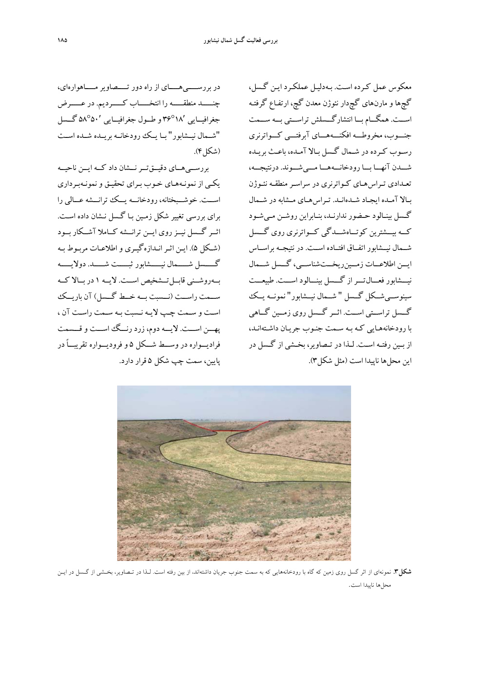در بررســــيهــــاي از راه دور تــــصاويرمــــاهوارهاي، چنـــــد منطقـــــه را انتخـــــاب كـــــرديم. در عـــــرض جغرافيــايي 36°18′ و طــول جغرافيــايي 58°50′ گــسل "شــمال نيــشابور" بــا يــك رودخانــه بريــده شــده اســت (شكل).

بررســيهــاي دقيــقتــرنــشان داد كــه ايــن ناحيــه يكـي از نمونـههـاي خـوب بـراي تحقيـق و نمونـهبـرداري اســـت. خوشـــبختانه، رودخانـــه يـــك ترانـــشه عـــالي را براي بررسي تغيير شكل زمـين بـا گـسل نـشان داده اسـت . اثــر گــسل نيــزروي ايــن ترانــشه كــاملا آشــكار بــود (شـكل 5). ايـن اثـرانـدازهگيـري واطلاعـات مربـوط بـه گـــــسل شـــــمال نيـــــشابور ثبـــــت شـــــد. دولايـــــه بــهروشــني قابــلتــشخيص اســت. لايــه 1 در بــالا كــه ســمت راســت (نــسبت بــه خــط گــسل) آن باريــك اسـت و سـمت چـپ لايـه نـسبت بـه سـمت راسـت آن ، پهـــن اســـت. لايـــه دوم، زرد رنـــگ اســـت و قـــسمت فراديـــواره در وســـط شـــكل 5 و فروديـــواره تقريبـــاً در پايين، سمت چپ شكل 5 قرار دارد.

معكوس عمل كـرده اسـت . بـهدليـل عملكـرد ايـن گـسل، گچها و مارنهاي گچدار نئوژن معدن گچ، ارتفـاع گرفتـه اســـت. همگـــام بـــا انتشارگـــسلش تراســـتي بـــه ســـمت جنـــوب، مخروطـــه افكنـــههـــاي آبرفتـــي كـــواترنري رسـوب كـرده در شـمال گـسل بـالا آمـده، باعـث بريـده شـــدن آنهـــا بـــا رودخانـــههـــا مـــيشـــوند. درنتيجـــه، تعـدادي تـراسهـاي كـواترنري در سراسـر منطقـه نئـوژن بـالا آمـده ايجـاد شـدهانـد. تـراسهـاي مـشابه در شـمال گـسل بينـالود حـضور ندارنـد، بنـابراين روشـن مـيشـود كـــه بيـــشترين كوتـــاهشـــدگي كـــواترنري روي گـــسل شــمال نيــشابور اتفــاق افتــاده اســت. در نتيجــه براســاس ايـــن اطلاعـــات زمـــينريخـــتشناســـي، گـــسل شـــمال نيـــشابور فعـــالتـــراز گـــسل بينـــالود اســـت. طبيعـــت سينوســيشــكل گــسل " شــمال نيــشابور" نمونــه يــك گــسل تراســتي اســت. اثــر گــسل روي زمــين گــاهي با رودخانههـايي كـه بـه سـمت جنـوب جريـان داشـته انـد، از بــين رفتــه اســت. لــذا در تــصاوير، بخــشي از گــسل در اين محلها ناپيدا است (مثل شكل3).



**شكل.3** نمونهاي از اثر گسل روي زمين كه گاه با رودخانههايي كه به سمت جنوب جريان داشتهاند، از بين رفته است. لـذا در تـصاوير، بخـشي از گـسل در ايـن محلها ناپيدا است.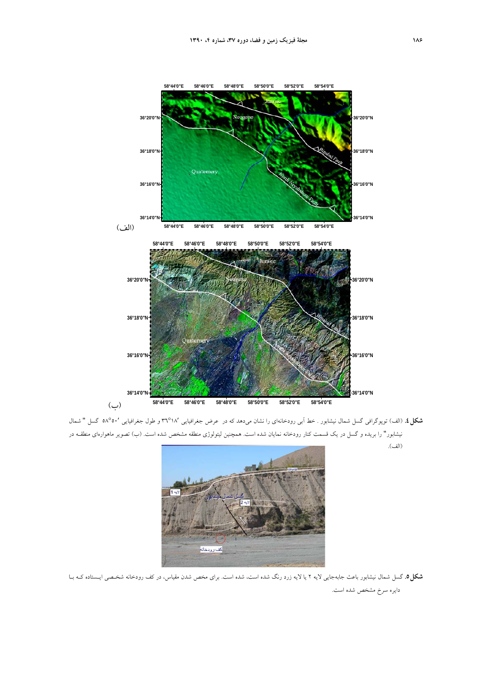

**شكل.4** (الف) توپوگرافي گسل شمال نيشابور . خط آبي رودخانهاي را نشان ميدهد كه در عرض جغرافيايي 36°18′ و طول جغرافيايي 58°50′ گسل " شمال نيشابور" را بريده و گسل در يك قسمت كنار رودخانه نمايان شده است. همچنين ليتولوژي منطقه مشخص شده است. (ب) تصوير ماهوارهاي منطقـه در (الف).



**شكل.5** گسل شمال نيشابور باعث جابهجايي لايه 2 يا لايه زرد رنگ شده است، شده است. براي مخص شدن مقياس، در كف رودخانه شخـصي ايـستاده كـه بـا دايره سرخ مشخص شده است.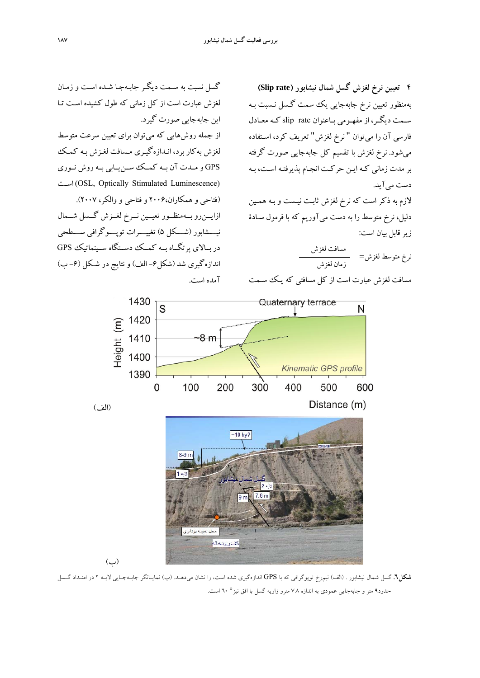**4 تعيين نرخ لغزش گسل شمال نيشابور (rate Slip (** بهمنظور تعيين نرخ جابهجايي يك سمت گـسل نـسبت بـه سـمت ديگـر، از مفهـومي بـاعنوان rate slip كـه معـادل فارسي آن را ميتوان " نرخ لغزش" تعريف كرد، اسـتفاده مي شود. نرخ لغزش با تقسيم كل جابهجايي صورت گرفته بر مدت زماني كـه ايـن حركـت انجـام پذيرفتـه اسـت، بـه دست ميآيد.

لازم به ذكر است كه نرخ لغزش ثابـت نيـست و بـه همـين دليل، نرخ متوسط را به دست مي آوريم كه با فرمول سـادة زيرقابل بيان است:

مسافت لغزش<br>نرخ متوسط لغزش= زمان لغزش

مسافت لغزش عبارت است از كل مسافتي كه يـك سـمت

گسل نسبت به سـمت ديگـر جابـه جـا شـده اسـت و زمـان لغزش عبارت است از كل زماني كه طول كشيده اسـت تـا اين جابهجايي صورت گيرد. از جمله روشهايي كه ميتوان براي تعيين سرعت متوسط لغزش بهكار برد، انـدازهگيـري مـسافت لغـزش بـه كمـك GPS و مــدت آن بــه كمــك ســنيــابي بــه روش نــوري اسـت) OSL, Optically Stimulated Luminescence) (فتاحي و همكاران2006، و فتاحي و والكر، 2007). ازايــنرو بــهمنظــور تعيــين نــرخ لغــزش گــسل شــمال نيـــشابور (شـــكل 5) تغييـــرات توپـــوگرافي ســـطحي در بــالاي پرتگــاه بــه كمــك دســتگاه ســينماتيك GPS اندازهگيري شد (شكل-6 الف) و نتايج در شـكل (-6 ب) آمده است.



(الف)

(ب)



**شكل.6** گسل شمال نيشابور . (الف) نيمرخ توپوگرافي كه با GPS اندازهگيري شده است، را نشان ميدهـد. (ب) نمايـانگر جابـهجـايي لايـه 2 در امتـداد گـسل حدود9 متر و جابهجايي عمودي به اندازه 7.8 مترو زاويه گسل با افق نيز° 60 است.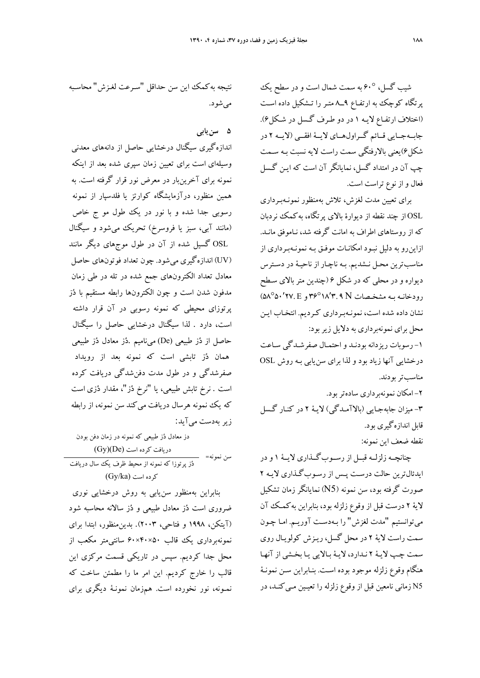شيب گسل، 60° به سمت شمال است و در سطح يك پرتگاه كوچك به ارتفـاع 9ــ8 متـر را تـشكيل داده اسـت (اختلاف ارتفـاع لايـه 1 در دو طـرف گـسل در شـكل 6). جابــهجــايي قــائم گــراولهــاي لايــة افقــي (لايــه 2 در شكل6)يعني بالارفتگي سمت راست لايه نسبت بـه سـمت چپ آن در امتداد گسل، نمايانگر آن است كه ايـن گـسل فعال و از نوع تراست است.

براي تعيين مدت لغزش، تلاش بهمنظور نمونـهبـرداري OSL از چند نقطه از ديوارة بالاي پرتگاه ، بهكمك نردبان كه از روستاهاي اطراف به امان ت گرفته شد، نـاموفق مانـد . ازاينرو به دليل نبـود امكانـات موفـق بـه نمونـه بـرداري از مناسبترين محـل نـشديم . بـه ناچـار از ناحيـة در دسـترس ديواره و در محلي كه در شكل 6 (چندين متربالاي سـطح  $(0{\cal A}^{\sf o}\delta{\bm\cdot}'{\sf YY},E_{\sf p}{\sf Y}^{\sf o}\delta{\sf Y},{\sf Y},{\sf Y},{\sf X})$ و  ${\cal A}^{\sf o}\delta{\sf Y}$ ، ( ه نشان داده شده است، نمونـه بـرداري كـرديم. انتخـاب ايـن محل براي نمونهبرداري به دلايل زيربود: -1 رسوبات ريزدانه بودنـد و احتمـال صفرشـدگي سـاعت درخشايي آنها زياد بود و لذا براي سنيابي بـه روش OSL مناسبتربودند. -2 امكان نمونهبرداري سادهتربود. -3 ميزان جابهجـايي (بالاآمـدگي) لايـة 2 در كنـار گـسل قابل اندازهگيري بود.

نقطه ضعف اين نمونه:

چنانچــه زلزلــه قبــل از رســوبگــذاري لايــة 1 و در ايدئالترين حالت درسـت پـس از رسـوب گـذاري لايـه 2 صورت گرفته بود، سن نمونه (5N (نمايانگر زمان تشكيل لاية 2 درست قبل از وقوع زلزله بود، بنابراين ب هكمـك آن ميتوانستيم "مدت لغزش" را بـهدسـت آوريـم. امـا چـون سمت راست لاية 2 در محل گسل، ريـزش كولويـال روي سمت چـپ لايـة 2 نـدارد، لايـة بـالايي يـا بخـشي از آنهـا هنگام وقوع زلزله موجود بوده اسـت . بنـابراين سـن نمونـة 5N زماني نامعين قبل از وقوع زلزله را تعيـين مـي كنـد، در

نتيجه بهكمك اين سن حداقل "سـرعت لغـزش" محاسـبه ميشود.

**5 سنيابي** 

اندازهگيري سيگنال درخشايي حاصل از دانههاي معدني وسيلهاي است براي تعيين زمان سپري شده بعد از اينكه نمونه براي آخرينبار در معرض نور قرار گرفته است. به همين منظور، درآزمايشگاه كوارتز يا فلدسپار از نمونه رسوبي جدا شده و با نور در يك طول مو ج خاص (مانند آبي، سبز يا فروسرخ) تحريك ميشود و سيگنال OSL گسيل شده از آن در طول موجهاي ديگر مانند (UV (اندازهگيري ميشود. چون تعداد فوتونهاي حاصل معادل تعداد الكترونهاي جمع شده در تله در طي زمان مدفون شدن است و چون الكترونها رابطه مستقيم با دز پرتوزاي محيطي كه نمونه رسوبي در آن قرار داشته است، دارد . لذا سيگنال درخشايي حاصل را سيگنال حاصل از دز طبيعي (De (ميناميم .دز معادل دز طبيعي همان دز تابشي است كه نمونه بعد از رويداد صفرشدگي و در طول مدت دفنشدگي دريافت كرده است . نرخ تابش طبيعي، يا "نرخ دز"، مقدار دزي است كه يك نمونه هرسال دريافت مي كند سن نمونه، از رابطه زير بهدست ميآيد:

دز معادل دز طبيعي كه نمونه در زمان دفن بودن دريافت كرده است (Gy)(De)<br>سن نمونه=

دز پرتوزا كه نمونه از محيط ظرف يك سال دريافت  $(Gy/ka)$  كرده است

بنابراين بهمنظور سنيابي به روش درخشايي نوري ضروري است دز معادل طبيعي و دز سالانه محاسبه شود (آيتكن، 1998 و فتاحي، 2003). بدينمنظور، ابتدا براي نمونهبرداري يك قالب 50×40×60 سانتيمتر مكعب از محل جدا كرديم. سپس در تاريكي قسمت مركزي اين قالب را خارج كرديم. اين امر ما را مطمئن ساخت كه نمـونه، نور نخورده است. همزمان نمونـة ديگري براي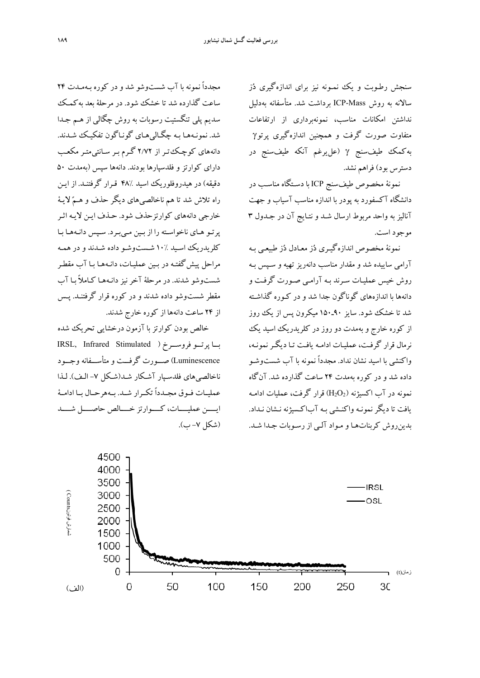سنجش رطـوبت و يك نمـونه نيز براي اندازهگيري دز سالانه به روش Mass-ICP برداشت شد. متأسفانه بهدليل نداشتن امكانات مناسب، نمونهبرداري از ارتفاعات متفاوت صورت گرفت و همچنين اندازهگيري پرتوγ بهكمك طيفسنج γ) عليرغم آنكه طيفسنج در دسترس بود) فراهم نشد.

نمونة مخصوص طيفسنج ICP با دسـتگاه مناسـب در دانشگاه آكسفورد به پودر با اندازه مناسب آسياب و جهت آناليز به واحد مربوط ارسال شـد و نتـايج آن در جـدول 3 موجود است.

نمونة مخصوص اندازهگيـري دز معـادل دز طبيعـي بـه آرامي ساييده شد و مقدار مناسب دانه ريز تهيه و سـپس بـه روش خيس عمليـات سـرند بـه آرامـي صـورت گرفـت و دانهها با اندازههاي گوناگون جدا شد و در كـوره گذاشـته شد تا خشك شود. سايز 90ـ150 ميكرون پس از يك روز از كوره خارج و بهمدت دو روز در كلريدريك اسيد يك نرمال قرار گرفـت، عمليـات ادامـه يافـت تـا ديگـرنمونـه ، واكنشي با اسيد نشان نداد . مجدداً نمونه با آب شست وشـو داده شد و در كوره ب همدت 24 ساعت گذارده شد. آنگاه نمونه در آب اكسيژنه  $\mathrm{H_{2}O_{2}}$  قرار گرفت، عمليات ادامـه يافت تا ديگر نمونـه واكنـشي بـه آب اكـسيژنه نـشان نـداد . بدين روش كربناتهـا و مـواد آلـي از رسـوبات جـدا شـد .

مجدداً نمونه با آب شست وشو شد و در كوره بـهمـدت 24 ساعت گذارده شد تا خشك شود. در مرحلهٔ بعد بهكميك سديم پلي تنگستيت رسوبات به روش چگالي از هـم جـدا شد. نمونـههـا بـه چگـاليهـاي گونـاگون تفكيـك شـدند. دانههاي كوچـكتـر از 2/72 گـرم بـر سـانتيمتـر مكعـب داراي كوارتز و فلدسپارها بودند. دانهها سپس (بهمدت 50 دقيقه) در هيدروفلوريك اسيد 48% قـرار گرفتنـد . از ايـن راه تلاش شد تا هم ناخالصيهاي ديگر حذف و هـم لايـة خارجي دانههاي كوارتزحذف شود. حـذف ايـن لايـه اثـر پرتـو هـاي ناخواسـته را از بـين مـيبـرد. سـپس دانـههـا بـا كلريدريك اسـيد 10% شـستوشـو داده شـدند و در همـه مراحل پيشگفتـه در بـين عمليـات، دانـه هـا بـا آب مقطـر شستوشو شدند. در مرحلة آخر نيز دانـه هـا كـاملاً بـا آب مقطر شستوشو داده شدند و در كوره قرار گرفتنـد. پـس از 24 ساعت دانهها از كوره خارج شدند.

خالص بودن كوارتز با آزمون درخشايي تحريك شده بــا پرتــو فروســرخ ( Stimulated Infrared ,IRSL Luminescence (صـــورت گرفـــت و متأســـفانهوجـــود ناخالصيهاي فلدسـپار آشـكار شـد (شـكل -7 الـف). لـذا عمليــات فــوق مجــدداً تكــرار شــد. بــههرحــال بــا ادامــة ايــــن عمليــــات، كــــوارتز خــــالص حاصــــل شــــد (شكل -7 ب).

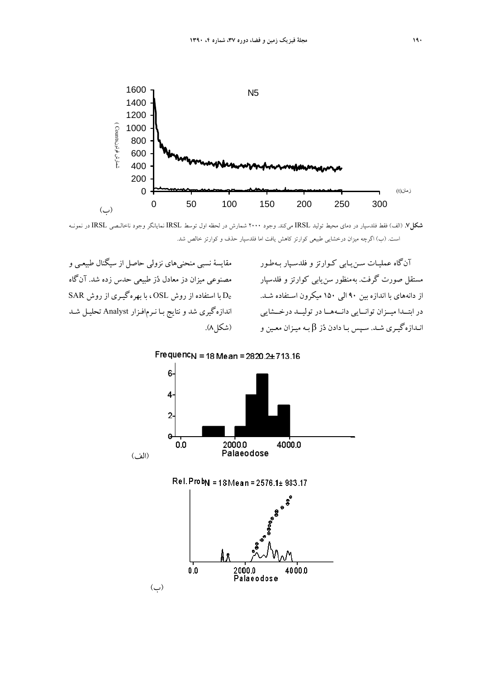

**شكل.7** (الف) فقط فلدسپار در دماي محيط توليد IRSL ميكند. وجود 2000 شمارش در لحظه اول توسط IRSL نمايانگر وجود ناخالـصي IRSL در نمونـه است. (ب) اگرچه ميزان درخشايي طبيعي كوارتز كاهش يافت اما فلدسپار حذف و كوارتز خالص شد.

مقايسة نسبي منحنيهاي نزولي حاصل از سيگنال طبيعـي و مصنوعي ميزان دز معادل دُز طبيعي حدس زده شد. آن گاه De با استفاده از روش OSL ، با بهرهگيـري از روش SAR اندازهگيري شد و نتايج بـا نـرمافـزار Analyst تحليـل شـد

آنگاه عمليـات سـن يـابي كـوارتز و فلدسـپار بـ هطـور مستقل صورت گرفت. بهمنظور سنيابي كوارتز و فلدسپار از دانههاي با اندازه بين 90 الي 150 ميكرون اسـتفاده شـد . در ابتــدا ميــزان توانــايي دانــههــا در توليــد درخــشايي نـدازه گيـري شـد. سـپس بـا دادن دُز β بـه ميـزان معـين و (شكل۸).



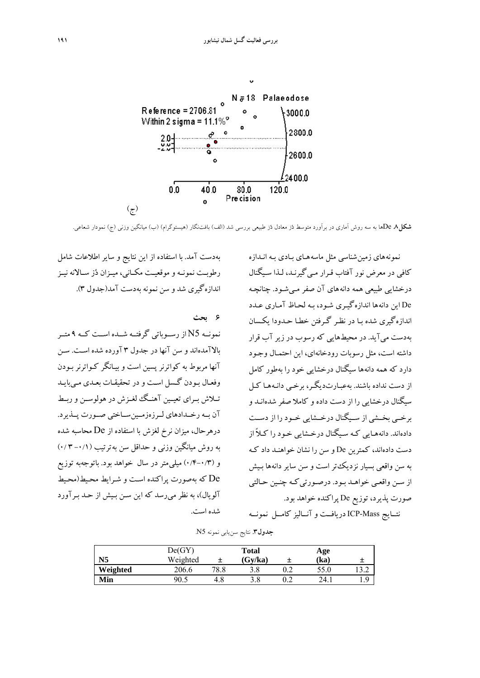

**شكل.8** Deها به سه روش آماري در برآورد متوسط دز معادل دز طبيعي بررسي شد (الف) بافتنگار (هيستوگرام) (ب) ميانگين وزني (ج) نمودار شعاعي.

بهدست آمد. با استفاده از اين نتايج و ساير اطلاعات شامل رطوبــت نمونــه و موقعيــت مكــاني، ميــزان دز ســالانه نيــز اندازهگيري شد و سن نمونه بهدست آمد(جدول 3).

**6 بحث**  نمونــه 5N از رســوباتي گرفتــه شــده اســت كــه 9 متــر بالاآمده اند و سن آنها در جدول 3 آورده شده اسـت. سـن آنها مربوط به كواترنر پسين است و بيـانگر كـواترنر بـودن وفعـال بـودن گـسل اسـت و در تحقيقـات بعـدي مـيبايـد تــلاش بــراي تعيــين آهنــگ لغــزش در هولوســن وربــط آن بــه رخــدادهاي لــرزهزمــينســاختي صــورت پــذيرد. درهرحال، ميزان نرخ لغزش با استفاده از De محاسبه شده به روش ميانگين وزني و حداقل سن به ترتيب (-0/1 3 0/) و (0/4-0/3) ميليمتر در سال خواهد بود. باتوجهبه توزيع De كه بهصورت پراكنده اسـت و شـرايط محـيط (محـيط آلويال)، به نظر مي رسد كه اين سـن بـيش از حـد بـر آورد شده است.

نمونه هاي زمينشناسي مثل ماسه هـاي بـادي بـه انـدازه كافي در معرض نور آفتاب قـرار مـيگيرنـد، لـذا سـ يگنال درخشايي طبيعي همه دانه هاي آن صفر مـيشـود. چنانچـه De اين دانه ها اندازهگيـري شـود، بـه لحـاظ آمـار ي عـدد اندازهگيري شده بـا در نظـر گـرفتن خطـا حـدودا يكـسان بهدست ميآيد. در محيطهايي كه رسوب در زير آب قرار داشته است، مثل رسوبات رودخانهاي، اين احتمـال وجـود دارد كه همه دانه ها سيگنال درخشايي خود را بهطور كامل از دست نداده باشند. بهعبـارتديگـر، برخـي دانـه هـا كـل سيگنال درخشايي را از دست داده و كاملا صفر شده انـد و برخــي بخــشي از ســيگنال درخــشايي خــود را از دســت دادهاند. دانههـايي كـه سـيگنال درخـشايي خـود را كـلاً از دست دادهاند، كمترين De و سن را نشان خواهنـد داد كـه به سن واقعي بسيار نزديكتر است و سن سا ير دانه ها بـيش از سـن واقعـي خواهـد بـود. درصـورتي كـه چنـين حـالتي صورت پذيرد، توزيع De پراكنده خواهد بود.

نتــايج Mass-ICP دريافــت و آنــاليز كامــل نمونــه

|                | De(GY)   |      | <b>Total</b> | Age  |     |
|----------------|----------|------|--------------|------|-----|
| N <sub>5</sub> | Weighted | 土    | Gy/ka        | (ka) |     |
| Weighted       | 206.6    | 78.8 | 3.8          | 55.0 | ے ۔ |
| Min            | 90.5     | 4.8  | 3.8          | 24.  |     |

**جدول.3** نتايج سنيابي نمونه 5N.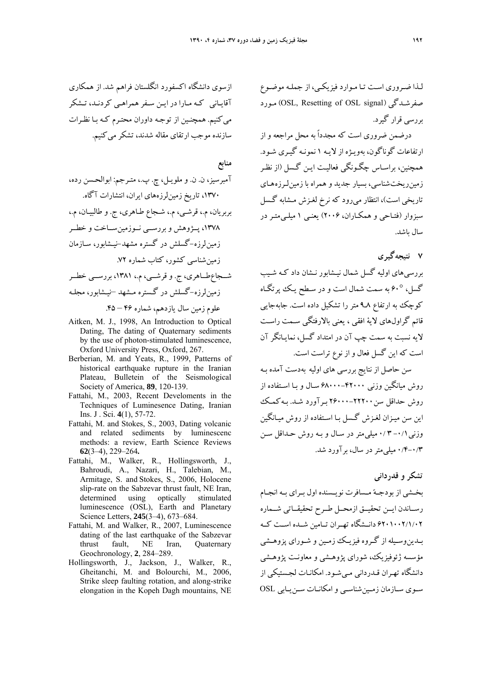لـذا ضـروري اسـت تـا مـوارد فيزيكـي، از جملـه موضـوع مـورد) OSL, Resetting of OSL signal) صفرشـدگي بررسي قرار گيرد.

درضمن ضروري است كه مجدداً به محل مراجعه و از ارتفاعات گوناگون، بهويـژه از لايـه 1 نمونـه گيـري شـود. همچنين، براسـاس چگـونگي فعاليـت ايـن گـسل (از نظـر زمينريختشناسي، بسيار جديد و همراه با زمين لـرزه هـاي تاريخي است)، انتظار مي رود كه نرخ لغـزش مـشابه گـسل سبزوار (فتـاحي و همكـاران، 2006) يعنـي 1 ميلـيمتـر در سال باشد.

**7 نتيجهگيري** 

بررسيهاي اوليه گسل شمال نيـشابور نـشان داد كـه شـيب گسل، 60° به سمت شمال است و در سـطح يـك پرتگـاه كوچك به ارتفاع 8ـ9 متر را تشكيل داده است. جابهجايي قائم گراولهاي لاية افقي ، يعني بالارفتگي سـمت راسـت لايه نسبت به سمت چپ آن در امتداد گسل، نمايـانگر آن است كه اين گسل فعال و از نوع تراست است.

سن حاصل از نتايج بررسي هاي اوليه بهدست آمده بـه روش ميانگين وزني 68000-42000 سـال و بـا اسـتفاده از روش حداقل سن26000-22200 بـرآورد شـد. بـهكمـك اين سن ميـزان لغـزش گـسل بـا اسـتفاده از روش م يـانگين وزني-0/1 3 0/ ميليمتر در سـال و بـه روش حـداقل سـن 0/4-0/3 ميليمتردر سال، برآورد شد.

**تشكر و قدرداني** 

بخـشي از بودجـه مـسافرت نويـسنده اول بـراي بـه انجــام رســاندن ايــن تحقيــق ازمحــل طــرح تحقيقــاتي شــماره 6201002/1/02 دانــشگاه تهــران تــامين شــده اســت كــه بـدينوسـيله از گـروه فيزيـك زمـين و شـوراي پزوهـشي مؤسسه ژئوفيزيك، شوراي پژوهـشي و معاونـت پ ژوهـشي دانشگاه تهـران قـدرداني مـيشـود. امكانـات لجـستيكي از سـوي سـازمان زمـينشناسـي وامكانـات سـنيـابي OSL

ازسوي دانشگاه اكسفورد انگلستان فراهم شد. از همكاري آقايـاني كـه مـارا در ايـن سـفرهمراهـي كردنـد، تـشكر ميكنيم. همچنـين از توجـه داوران محتـرم كـه بـا نظـرات سازنده موجب ارتقاي مقاله شدند، تشكرميكنيم.

# **منابع**

آمبرسيز، ن. ن. و ملويـل، چ. پ،. متـرجم: ابوالحـسن رده، ،1370 تاريخ زمينلرزههاي ايران، انتشارات آگاه. بربريان، م،. قرشـي، م،. شـجاع طـاهر ي، ج. و طالبيـان، م،. ،1378 پــژوهش و بررســي نــوزمينســاخت و خطــر زمينلرزه-گسلش در گستره مشهد-نيـشابور، سـازمان زمينشناسي كشور، كتاب شماره .72 شــجاعطــاهري، ج. و قرشــي، م،. ،1381 بررســي خطــر زمينلرزه-گسلش در گـستره مـشهد –نيـشابور، مجلـه علوم زمين سال يازدهم، شماره 46 – .45

- Aitken, M. J., 1998, An Introduction to Optical Dating, The dating of Quaternary sediments by the use of photon-stimulated luminescence, Oxford University Press, Oxford, 267.
- Berberian, M. and Yeats, R., 1999, Patterns of historical earthquake rupture in the Iranian Plateau, Bulletein of the Seismological Society of America, **89**, 120-139.
- Fattahi, M., 2003, Recent Develoments in the Techniques of Luminesence Dating, Iranian Ins. J . Sci. **4**(1), 57-72.
- Fattahi, M. and Stokes, S., 2003, Dating volcanic and related sediments by luminescenc methods: a review, Earth Science Reviews **62**(3–4), 229–264*.*
- Fattahi, M., Walker, R., Hollingsworth, J., Bahroudi, A., Nazari, H., Talebian, M., Armitage, S. and Stokes, S., 2006, Holocene slip-rate on the Sabzevar thrust fault, NE Iran, determined using optically stimulated luminescence (OSL), Earth and Planetary Science Letters, **245**(3–4), 673–684.
- Fattahi, M. and Walker, R., 2007, Luminescence dating of the last earthquake of the Sabzevar thrust fault, NE Iran, Quaternary Geochronology, **2**, 284–289.
- Hollingsworth, J., Jackson, J., Walker, R., Gheitanchi, M. and Bolourchi, M., 2006, Strike sleep faulting rotation, and along-strike elongation in the Kopeh Dagh mountains, NE